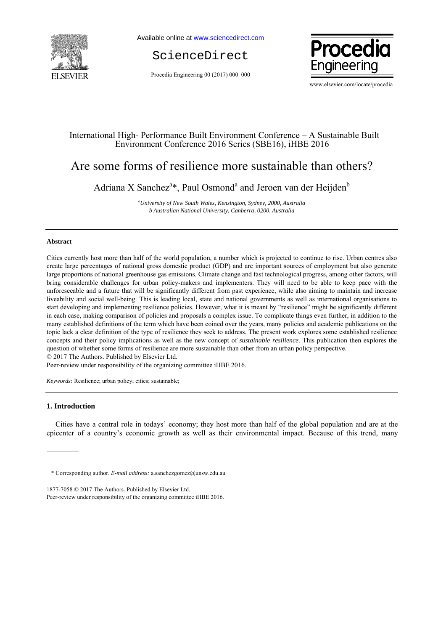

Available online at www.sciencedirect.com

ScienceDirect

Procedia Engineering 00 (2017) 000–000



www.elsevier.com/locate/procedia

## International High- Performance Built Environment Conference – A Sustainable Built Environment Conference 2016 Series (SBE16), iHBE 2016

# Are some forms of resilience more sustainable than others?

Adriana X Sanchez<sup>a\*</sup>, Paul Osmond<sup>a</sup> and Jeroen van der Heijden<sup>b</sup>

*a University of New South Wales, Kensington, Sydney, 2000, Australia b Australian National University, Canberra, 0200, Australia* 

#### **Abstract**

Cities currently host more than half of the world population, a number which is projected to continue to rise. Urban centres also create large percentages of national gross domestic product (GDP) and are important sources of employment but also generate large proportions of national greenhouse gas emissions. Climate change and fast technological progress, among other factors, will bring considerable challenges for urban policy-makers and implementers. They will need to be able to keep pace with the unforeseeable and a future that will be significantly different from past experience, while also aiming to maintain and increase liveability and social well-being. This is leading local, state and national governments as well as international organisations to start developing and implementing resilience policies. However, what it is meant by "resilience" might be significantly different in each case, making comparison of policies and proposals a complex issue. To complicate things even further, in addition to the many established definitions of the term which have been coined over the years, many policies and academic publications on the topic lack a clear definition of the type of resilience they seek to address. The present work explores some established resilience concepts and their policy implications as well as the new concept of *sustainable resilience.* This publication then explores the question of whether some forms of resilience are more sustainable than other from an urban policy perspective. © 2017 The Authors. Published by Elsevier Ltd.

Peer-review under responsibility of the organizing committee iHBE 2016.

*Keywords:* Resilience; urban policy; cities; sustainable;

### **1. Introduction**

Cities have a central role in todays' economy; they host more than half of the global population and are at the epicenter of a country's economic growth as well as their environmental impact. Because of this trend, many

1877-7058 © 2017 The Authors. Published by Elsevier Ltd. Peer-review under responsibility of the organizing committee iHBE 2016.

<sup>\*</sup> Corresponding author. *E-mail address:* a.sanchezgomez@unsw.edu.au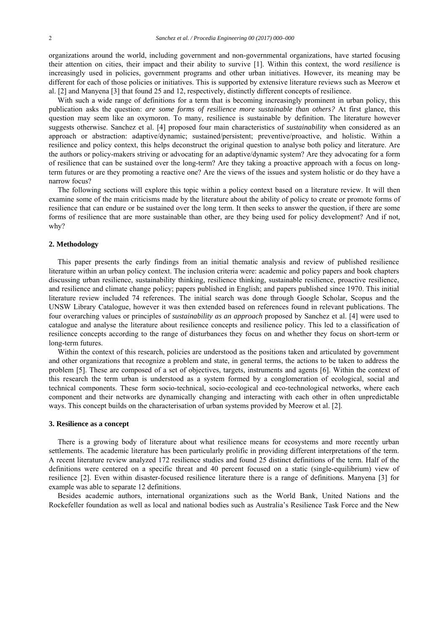organizations around the world, including government and non-governmental organizations, have started focusing their attention on cities, their impact and their ability to survive [1]. Within this context, the word *resilience* is increasingly used in policies, government programs and other urban initiatives. However, its meaning may be different for each of those policies or initiatives. This is supported by extensive literature reviews such as Meerow et al. [2] and Manyena [3] that found 25 and 12, respectively, distinctly different concepts of resilience.

With such a wide range of definitions for a term that is becoming increasingly prominent in urban policy, this publication asks the question: *are some forms of resilience more sustainable than others?* At first glance, this question may seem like an oxymoron. To many, resilience is sustainable by definition. The literature however suggests otherwise. Sanchez et al. [4] proposed four main characteristics of *sustainability* when considered as an approach or abstraction: adaptive/dynamic; sustained/persistent; preventive/proactive, and holistic. Within a resilience and policy context, this helps deconstruct the original question to analyse both policy and literature. Are the authors or policy-makers striving or advocating for an adaptive/dynamic system? Are they advocating for a form of resilience that can be sustained over the long-term? Are they taking a proactive approach with a focus on longterm futures or are they promoting a reactive one? Are the views of the issues and system holistic or do they have a narrow focus?

The following sections will explore this topic within a policy context based on a literature review. It will then examine some of the main criticisms made by the literature about the ability of policy to create or promote forms of resilience that can endure or be sustained over the long term. It then seeks to answer the question, if there are some forms of resilience that are more sustainable than other, are they being used for policy development? And if not, why?

#### **2. Methodology**

This paper presents the early findings from an initial thematic analysis and review of published resilience literature within an urban policy context. The inclusion criteria were: academic and policy papers and book chapters discussing urban resilience, sustainability thinking, resilience thinking, sustainable resilience, proactive resilience, and resilience and climate change policy; papers published in English; and papers published since 1970. This initial literature review included 74 references. The initial search was done through Google Scholar, Scopus and the UNSW Library Catalogue, however it was then extended based on references found in relevant publications. The four overarching values or principles of *sustainability as an approach* proposed by Sanchez et al. [4] were used to catalogue and analyse the literature about resilience concepts and resilience policy. This led to a classification of resilience concepts according to the range of disturbances they focus on and whether they focus on short-term or long-term futures.

Within the context of this research, policies are understood as the positions taken and articulated by government and other organizations that recognize a problem and state, in general terms, the actions to be taken to address the problem [5]. These are composed of a set of objectives, targets, instruments and agents [6]. Within the context of this research the term urban is understood as a system formed by a conglomeration of ecological, social and technical components. These form socio-technical, socio-ecological and eco-technological networks, where each component and their networks are dynamically changing and interacting with each other in often unpredictable ways. This concept builds on the characterisation of urban systems provided by Meerow et al. [2].

#### **3. Resilience as a concept**

There is a growing body of literature about what resilience means for ecosystems and more recently urban settlements. The academic literature has been particularly prolific in providing different interpretations of the term. A recent literature review analyzed 172 resilience studies and found 25 distinct definitions of the term. Half of the definitions were centered on a specific threat and 40 percent focused on a static (single-equilibrium) view of resilience [2]. Even within disaster-focused resilience literature there is a range of definitions. Manyena [3] for example was able to separate 12 definitions.

Besides academic authors, international organizations such as the World Bank, United Nations and the Rockefeller foundation as well as local and national bodies such as Australia's Resilience Task Force and the New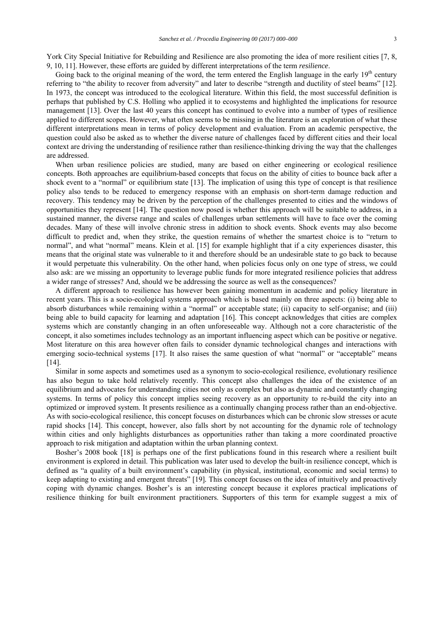York City Special Initiative for Rebuilding and Resilience are also promoting the idea of more resilient cities [7, 8, 9, 10, 11]. However, these efforts are guided by different interpretations of the term *resilience*.

Going back to the original meaning of the word, the term entered the English language in the early  $19<sup>th</sup>$  century referring to "the ability to recover from adversity" and later to describe "strength and ductility of steel beams" [12]*.*  In 1973, the concept was introduced to the ecological literature. Within this field, the most successful definition is perhaps that published by C.S. Holling who applied it to ecosystems and highlighted the implications for resource management [13]. Over the last 40 years this concept has continued to evolve into a number of types of resilience applied to different scopes. However, what often seems to be missing in the literature is an exploration of what these different interpretations mean in terms of policy development and evaluation. From an academic perspective, the question could also be asked as to whether the diverse nature of challenges faced by different cities and their local context are driving the understanding of resilience rather than resilience-thinking driving the way that the challenges are addressed.

When urban resilience policies are studied, many are based on either engineering or ecological resilience concepts. Both approaches are equilibrium-based concepts that focus on the ability of cities to bounce back after a shock event to a "normal" or equilibrium state [13]. The implication of using this type of concept is that resilience policy also tends to be reduced to emergency response with an emphasis on short-term damage reduction and recovery. This tendency may be driven by the perception of the challenges presented to cities and the windows of opportunities they represent [14]. The question now posed is whether this approach will be suitable to address, in a sustained manner, the diverse range and scales of challenges urban settlements will have to face over the coming decades. Many of these will involve chronic stress in addition to shock events. Shock events may also become difficult to predict and, when they strike, the question remains of whether the smartest choice is to "return to normal", and what "normal" means. Klein et al. [15] for example highlight that if a city experiences disaster, this means that the original state was vulnerable to it and therefore should be an undesirable state to go back to because it would perpetuate this vulnerability. On the other hand, when policies focus only on one type of stress, we could also ask: are we missing an opportunity to leverage public funds for more integrated resilience policies that address a wider range of stresses? And, should we be addressing the source as well as the consequences?

A different approach to resilience has however been gaining momentum in academic and policy literature in recent years. This is a socio-ecological systems approach which is based mainly on three aspects: (i) being able to absorb disturbances while remaining within a "normal" or acceptable state; (ii) capacity to self-organise; and (iii) being able to build capacity for learning and adaptation [16]. This concept acknowledges that cities are complex systems which are constantly changing in an often unforeseeable way. Although not a core characteristic of the concept, it also sometimes includes technology as an important influencing aspect which can be positive or negative. Most literature on this area however often fails to consider dynamic technological changes and interactions with emerging socio-technical systems [17]. It also raises the same question of what "normal" or "acceptable" means [14].

Similar in some aspects and sometimes used as a synonym to socio-ecological resilience, evolutionary resilience has also begun to take hold relatively recently. This concept also challenges the idea of the existence of an equilibrium and advocates for understanding cities not only as complex but also as dynamic and constantly changing systems. In terms of policy this concept implies seeing recovery as an opportunity to re-build the city into an optimized or improved system. It presents resilience as a continually changing process rather than an end-objective. As with socio-ecological resilience, this concept focuses on disturbances which can be chronic slow stresses or acute rapid shocks [14]. This concept, however, also falls short by not accounting for the dynamic role of technology within cities and only highlights disturbances as opportunities rather than taking a more coordinated proactive approach to risk mitigation and adaptation within the urban planning context.

Bosher's 2008 book [18] is perhaps one of the first publications found in this research where a resilient built environment is explored in detail. This publication was later used to develop the built-in resilience concept, which is defined as "a quality of a built environment's capability (in physical, institutional, economic and social terms) to keep adapting to existing and emergent threats" [19]*.* This concept focuses on the idea of intuitively and proactively coping with dynamic changes. Bosher's is an interesting concept because it explores practical implications of resilience thinking for built environment practitioners. Supporters of this term for example suggest a mix of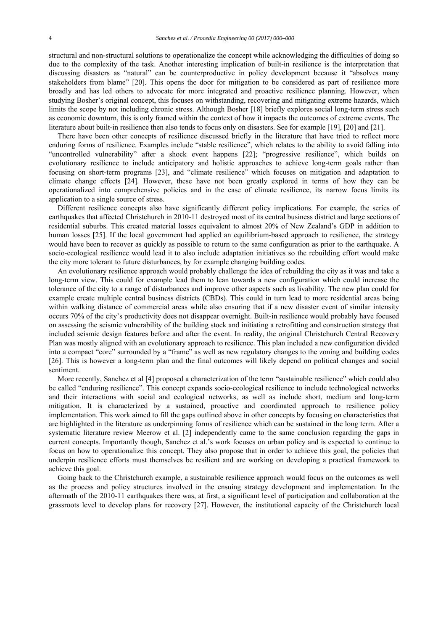structural and non-structural solutions to operationalize the concept while acknowledging the difficulties of doing so due to the complexity of the task. Another interesting implication of built-in resilience is the interpretation that discussing disasters as "natural" can be counterproductive in policy development because it "absolves many stakeholders from blame" [20]*.* This opens the door for mitigation to be considered as part of resilience more broadly and has led others to advocate for more integrated and proactive resilience planning. However, when studying Bosher's original concept, this focuses on withstanding, recovering and mitigating extreme hazards, which limits the scope by not including chronic stress. Although Bosher [18] briefly explores social long-term stress such as economic downturn, this is only framed within the context of how it impacts the outcomes of extreme events. The literature about built-in resilience then also tends to focus only on disasters. See for example [19], [20] and [21].

There have been other concepts of resilience discussed briefly in the literature that have tried to reflect more enduring forms of resilience. Examples include "stable resilience", which relates to the ability to avoid falling into "uncontrolled vulnerability" after a shock event happens [22]; "progressive resilience", which builds on evolutionary resilience to include anticipatory and holistic approaches to achieve long-term goals rather than focusing on short-term programs [23], and "climate resilience" which focuses on mitigation and adaptation to climate change effects [24]. However, these have not been greatly explored in terms of how they can be operationalized into comprehensive policies and in the case of climate resilience, its narrow focus limits its application to a single source of stress.

Different resilience concepts also have significantly different policy implications. For example, the series of earthquakes that affected Christchurch in 2010-11 destroyed most of its central business district and large sections of residential suburbs. This created material losses equivalent to almost 20% of New Zealand's GDP in addition to human losses [25]. If the local government had applied an equilibrium-based approach to resilience, the strategy would have been to recover as quickly as possible to return to the same configuration as prior to the earthquake. A socio-ecological resilience would lead it to also include adaptation initiatives so the rebuilding effort would make the city more tolerant to future disturbances, by for example changing building codes.

An evolutionary resilience approach would probably challenge the idea of rebuilding the city as it was and take a long-term view. This could for example lead them to lean towards a new configuration which could increase the tolerance of the city to a range of disturbances and improve other aspects such as livability. The new plan could for example create multiple central business districts (CBDs). This could in turn lead to more residential areas being within walking distance of commercial areas while also ensuring that if a new disaster event of similar intensity occurs 70% of the city's productivity does not disappear overnight. Built-in resilience would probably have focused on assessing the seismic vulnerability of the building stock and initiating a retrofitting and construction strategy that included seismic design features before and after the event. In reality, the original Christchurch Central Recovery Plan was mostly aligned with an evolutionary approach to resilience. This plan included a new configuration divided into a compact "core" surrounded by a "frame" as well as new regulatory changes to the zoning and building codes [26]. This is however a long-term plan and the final outcomes will likely depend on political changes and social sentiment.

More recently, Sanchez et al [4] proposed a characterization of the term "sustainable resilience" which could also be called "enduring resilience". This concept expands socio-ecological resilience to include technological networks and their interactions with social and ecological networks, as well as include short, medium and long-term mitigation. It is characterized by a sustained, proactive and coordinated approach to resilience policy implementation. This work aimed to fill the gaps outlined above in other concepts by focusing on characteristics that are highlighted in the literature as underpinning forms of resilience which can be sustained in the long term. After a systematic literature review Meerow et al. [2] independently came to the same conclusion regarding the gaps in current concepts. Importantly though, Sanchez et al.'s work focuses on urban policy and is expected to continue to focus on how to operationalize this concept. They also propose that in order to achieve this goal, the policies that underpin resilience efforts must themselves be resilient and are working on developing a practical framework to achieve this goal.

Going back to the Christchurch example, a sustainable resilience approach would focus on the outcomes as well as the process and policy structures involved in the ensuing strategy development and implementation. In the aftermath of the 2010-11 earthquakes there was, at first, a significant level of participation and collaboration at the grassroots level to develop plans for recovery [27]. However, the institutional capacity of the Christchurch local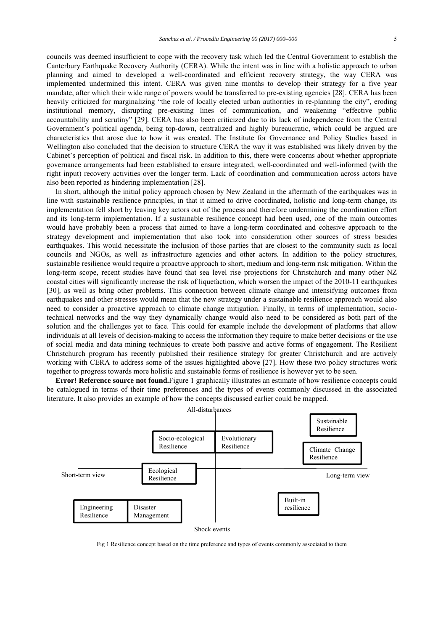councils was deemed insufficient to cope with the recovery task which led the Central Government to establish the Canterbury Earthquake Recovery Authority (CERA). While the intent was in line with a holistic approach to urban planning and aimed to developed a well-coordinated and efficient recovery strategy, the way CERA was implemented undermined this intent. CERA was given nine months to develop their strategy for a five year mandate, after which their wide range of powers would be transferred to pre-existing agencies [28]. CERA has been heavily criticized for marginalizing "the role of locally elected urban authorities in re-planning the city", eroding institutional memory, disrupting pre-existing lines of communication, and weakening "effective public accountability and scrutiny" [29]*.* CERA has also been criticized due to its lack of independence from the Central Government's political agenda, being top-down, centralized and highly bureaucratic, which could be argued are characteristics that arose due to how it was created. The Institute for Governance and Policy Studies based in Wellington also concluded that the decision to structure CERA the way it was established was likely driven by the Cabinet's perception of political and fiscal risk. In addition to this, there were concerns about whether appropriate governance arrangements had been established to ensure integrated, well-coordinated and well-informed (with the right input) recovery activities over the longer term. Lack of coordination and communication across actors have also been reported as hindering implementation [28].

In short, although the initial policy approach chosen by New Zealand in the aftermath of the earthquakes was in line with sustainable resilience principles, in that it aimed to drive coordinated, holistic and long-term change, its implementation fell short by leaving key actors out of the process and therefore undermining the coordination effort and its long-term implementation. If a sustainable resilience concept had been used, one of the main outcomes would have probably been a process that aimed to have a long-term coordinated and cohesive approach to the strategy development and implementation that also took into consideration other sources of stress besides earthquakes. This would necessitate the inclusion of those parties that are closest to the community such as local councils and NGOs, as well as infrastructure agencies and other actors. In addition to the policy structures, sustainable resilience would require a proactive approach to short, medium and long-term risk mitigation. Within the long-term scope, recent studies have found that sea level rise projections for Christchurch and many other NZ coastal cities will significantly increase the risk of liquefaction, which worsen the impact of the 2010-11 earthquakes [30]*,* as well as bring other problems. This connection between climate change and intensifying outcomes from earthquakes and other stresses would mean that the new strategy under a sustainable resilience approach would also need to consider a proactive approach to climate change mitigation. Finally, in terms of implementation, sociotechnical networks and the way they dynamically change would also need to be considered as both part of the solution and the challenges yet to face. This could for example include the development of platforms that allow individuals at all levels of decision-making to access the information they require to make better decisions or the use of social media and data mining techniques to create both passive and active forms of engagement. The Resilient Christchurch program has recently published their resilience strategy for greater Christchurch and are actively working with CERA to address some of the issues highlighted above [27]. How these two policy structures work together to progress towards more holistic and sustainable forms of resilience is however yet to be seen.

**Error! Reference source not found.**Figure 1 graphically illustrates an estimate of how resilience concepts could be catalogued in terms of their time preferences and the types of events commonly discussed in the associated literature. It also provides an example of how the concepts discussed earlier could be mapped.



Shock events

Fig 1 Resilience concept based on the time preference and types of events commonly associated to them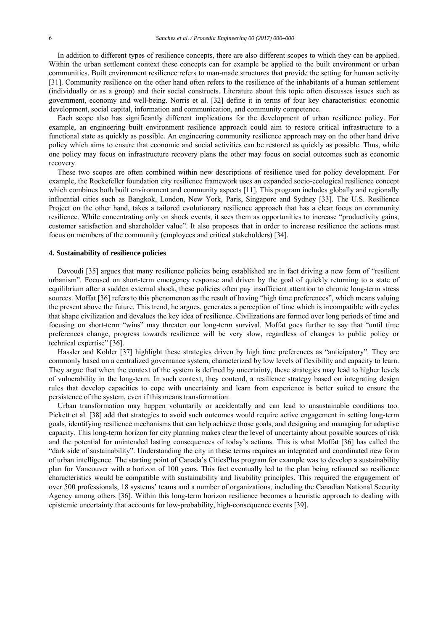In addition to different types of resilience concepts, there are also different scopes to which they can be applied. Within the urban settlement context these concepts can for example be applied to the built environment or urban communities. Built environment resilience refers to man-made structures that provide the setting for human activity [31]. Community resilience on the other hand often refers to the resilience of the inhabitants of a human settlement (individually or as a group) and their social constructs. Literature about this topic often discusses issues such as government, economy and well-being. Norris et al. [32] define it in terms of four key characteristics: economic development, social capital, information and communication, and community competence.

Each scope also has significantly different implications for the development of urban resilience policy. For example, an engineering built environment resilience approach could aim to restore critical infrastructure to a functional state as quickly as possible. An engineering community resilience approach may on the other hand drive policy which aims to ensure that economic and social activities can be restored as quickly as possible. Thus, while one policy may focus on infrastructure recovery plans the other may focus on social outcomes such as economic recovery.

These two scopes are often combined within new descriptions of resilience used for policy development. For example, the Rockefeller foundation city resilience framework uses an expanded socio-ecological resilience concept which combines both built environment and community aspects [11]. This program includes globally and regionally influential cities such as Bangkok, London, New York, Paris, Singapore and Sydney [33]. The U.S. Resilience Project on the other hand, takes a tailored evolutionary resilience approach that has a clear focus on community resilience. While concentrating only on shock events, it sees them as opportunities to increase "productivity gains, customer satisfaction and shareholder value". It also proposes that in order to increase resilience the actions must focus on members of the community (employees and critical stakeholders) [34].

#### **4. Sustainability of resilience policies**

Davoudi [35] argues that many resilience policies being established are in fact driving a new form of "resilient urbanism". Focused on short-term emergency response and driven by the goal of quickly returning to a state of equilibrium after a sudden external shock, these policies often pay insufficient attention to chronic long-term stress sources. Moffat [36] refers to this phenomenon as the result of having "high time preferences", which means valuing the present above the future. This trend, he argues, generates a perception of time which is incompatible with cycles that shape civilization and devalues the key idea of resilience. Civilizations are formed over long periods of time and focusing on short-term "wins" may threaten our long-term survival. Moffat goes further to say that "until time preferences change, progress towards resilience will be very slow, regardless of changes to public policy or technical expertise" [36].

Hassler and Kohler [37] highlight these strategies driven by high time preferences as "anticipatory". They are commonly based on a centralized governance system, characterized by low levels of flexibility and capacity to learn. They argue that when the context of the system is defined by uncertainty, these strategies may lead to higher levels of vulnerability in the long-term. In such context, they contend, a resilience strategy based on integrating design rules that develop capacities to cope with uncertainty and learn from experience is better suited to ensure the persistence of the system, even if this means transformation.

Urban transformation may happen voluntarily or accidentally and can lead to unsustainable conditions too. Pickett et al. [38] add that strategies to avoid such outcomes would require active engagement in setting long-term goals, identifying resilience mechanisms that can help achieve those goals, and designing and managing for adaptive capacity. This long-term horizon for city planning makes clear the level of uncertainty about possible sources of risk and the potential for unintended lasting consequences of today's actions. This is what Moffat [36] has called the "dark side of sustainability". Understanding the city in these terms requires an integrated and coordinated new form of urban intelligence. The starting point of Canada's CitiesPlus program for example was to develop a sustainability plan for Vancouver with a horizon of 100 years. This fact eventually led to the plan being reframed so resilience characteristics would be compatible with sustainability and livability principles. This required the engagement of over 500 professionals, 18 systems' teams and a number of organizations, including the Canadian National Security Agency among others [36]. Within this long-term horizon resilience becomes a heuristic approach to dealing with epistemic uncertainty that accounts for low-probability, high-consequence events [39].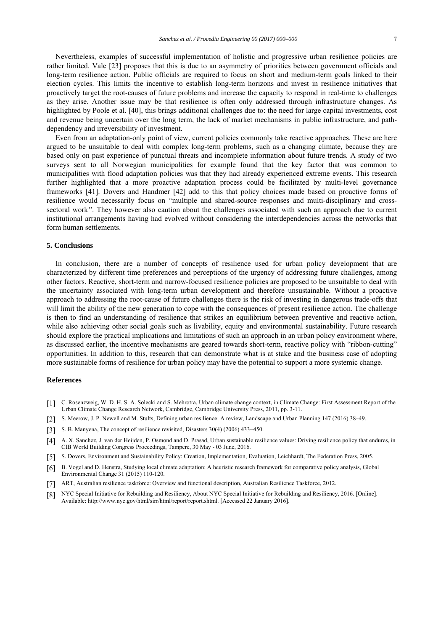Nevertheless, examples of successful implementation of holistic and progressive urban resilience policies are rather limited. Vale [23] proposes that this is due to an asymmetry of priorities between government officials and long-term resilience action. Public officials are required to focus on short and medium-term goals linked to their election cycles. This limits the incentive to establish long-term horizons and invest in resilience initiatives that proactively target the root-causes of future problems and increase the capacity to respond in real-time to challenges as they arise. Another issue may be that resilience is often only addressed through infrastructure changes. As highlighted by Poole et al. [40], this brings additional challenges due to: the need for large capital investments, cost and revenue being uncertain over the long term, the lack of market mechanisms in public infrastructure, and pathdependency and irreversibility of investment.

Even from an adaptation-only point of view, current policies commonly take reactive approaches. These are here argued to be unsuitable to deal with complex long-term problems, such as a changing climate, because they are based only on past experience of punctual threats and incomplete information about future trends. A study of two surveys sent to all Norwegian municipalities for example found that the key factor that was common to municipalities with flood adaptation policies was that they had already experienced extreme events. This research further highlighted that a more proactive adaptation process could be facilitated by multi-level governance frameworks [41]. Dovers and Handmer [42] add to this that policy choices made based on proactive forms of resilience would necessarily focus on "multiple and shared-source responses and multi-disciplinary and crosssectoral work*"*. They however also caution about the challenges associated with such an approach due to current institutional arrangements having had evolved without considering the interdependencies across the networks that form human settlements.

#### **5. Conclusions**

In conclusion, there are a number of concepts of resilience used for urban policy development that are characterized by different time preferences and perceptions of the urgency of addressing future challenges, among other factors. Reactive, short-term and narrow-focused resilience policies are proposed to be unsuitable to deal with the uncertainty associated with long-term urban development and therefore unsustainable. Without a proactive approach to addressing the root-cause of future challenges there is the risk of investing in dangerous trade-offs that will limit the ability of the new generation to cope with the consequences of present resilience action. The challenge is then to find an understanding of resilience that strikes an equilibrium between preventive and reactive action, while also achieving other social goals such as livability, equity and environmental sustainability. Future research should explore the practical implications and limitations of such an approach in an urban policy environment where, as discussed earlier, the incentive mechanisms are geared towards short-term, reactive policy with "ribbon-cutting" opportunities. In addition to this, research that can demonstrate what is at stake and the business case of adopting more sustainable forms of resilience for urban policy may have the potential to support a more systemic change.

#### **References**

- [1] C. Rosenzweig, W. D. H. S. A. Solecki and S. Mehrotra, Urban climate change context, in Climate Change: First Assessment Report of the Urban Climate Change Research Network, Cambridge, Cambridge University Press, 2011, pp. 3-11.
- [2] S. Meerow, J. P. Newell and M. Stults, Defining urban resilience: A review, Landscape and Urban Planning 147 (2016) 38–49.
- [3] S. B. Manyena, The concept of resilience revisited, Disasters 30(4) (2006) 433−450.
- [4] A. X. Sanchez, J. van der Heijden, P. Osmond and D. Prasad, Urban sustainable resilience values: Driving resilience policy that endures, in CIB World Building Congress Proceedings, Tampere, 30 May - 03 June, 2016.
- [5] S. Dovers, Environment and Sustainability Policy: Creation, Implementation, Evaluation, Leichhardt, The Federation Press, 2005.
- [6] B. Vogel and D. Henstra, Studying local climate adaptation: A heuristic research framework for comparative policy analysis, Global Environmental Change 31 (2015) 110-120.
- [7] ART, Australian resilience taskforce: Overview and functional description, Australian Resilience Taskforce, 2012.
- [8] NYC Special Initiative for Rebuilding and Resiliency, About NYC Special Initiative for Rebuilding and Resiliency, 2016. [Online]. Available: http://www.nyc.gov/html/sirr/html/report/report.shtml. [Accessed 22 January 2016].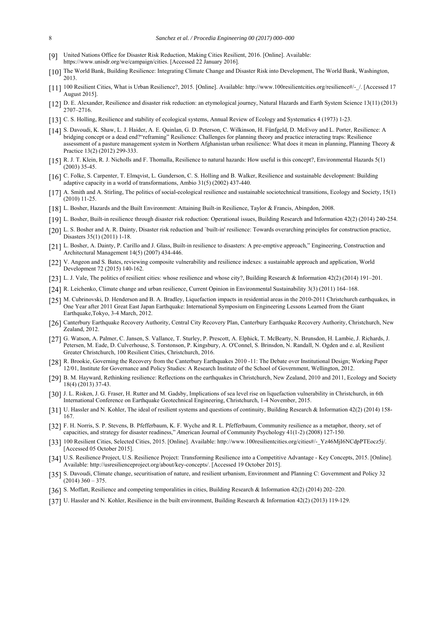- [9] United Nations Office for Disaster Risk Reduction, Making Cities Resilient, 2016. [Online]. Available: https://www.unisdr.org/we/campaign/cities. [Accessed 22 January 2016].
- [10] The World Bank, Building Resilience: Integrating Climate Change and Disaster Risk into Development, The World Bank, Washington, 2013.
- [11] 100 Resilient Cities, What is Urban Resilience?, 2015. [Online]. Available: http://www.100resilientcities.org/resilience#/-\_/. [Accessed 17 August 2015].
- [12] D. E. Alexander, Resilience and disaster risk reduction: an etymological journey, Natural Hazards and Earth System Science 13(11) (2013) 2707–2716.
- [13] C. S. Holling, Resilience and stability of ecological systems, Annual Review of Ecology and Systematics 4 (1973) 1-23.
- [14] S. Davoudi, K. Shaw, L. J. Haider, A. E. Quinlan, G. D. Peterson, C. Wilkinson, H. Fünfgeld, D. McEvoy and L. Porter, Resilience: A bridging concept or a dead end?"reframing" Resilience: Challenges for planning theory and practice interacting traps: Resilience assessment of a pasture management system in Northern Afghanistan urban resilience: What does it mean in planning, Planning Theory & Practice 13(2) (2012) 299-333.
- [15] R. J. T. Klein, R. J. Nicholls and F. Thomalla, Resilience to natural hazards: How useful is this concept?, Environmental Hazards 5(1) (2003) 35-45.
- [16] C. Folke, S. Carpenter, T. Elmqvist, L. Gunderson, C. S. Holling and B. Walker, Resilience and sustainable development: Building adaptive capacity in a world of transformations, Ambio 31(5) (2002) 437-440.
- [17] A. Smith and A. Stirling, The politics of social-ecological resilience and sustainable sociotechnical transitions, Ecology and Society*,* 15(1) (2010) 11-25.
- [18] L. Bosher, Hazards and the Built Environment: Attaining Built-in Resilience, Taylor & Francis, Abingdon, 2008.
- [19] L. Bosher, Built-in resilience through disaster risk reduction: Operational issues, Building Research and Information 42(2) (2014) 240-254.
- [20] L. S. Bosher and A. R. Dainty, Disaster risk reduction and `built-in' resilience: Towards overarching principles for construction practice, Disasters 35(1) (2011) 1-18.
- [21] L. Bosher, A. Dainty, P. Carillo and J. Glass, Built-in resilience to disasters: A pre-emptive approach," Engineering, Construction and Architectural Management 14(5) (2007) 434-446.
- [22] V. Angeon and S. Bates, reviewing composite vulnerability and resilience indexes: a sustainable approach and application, World Development 72 (2015) 140-162.
- [23] L. J. Vale, The politics of resilient cities: whose resilience and whose city?, Building Research & Information 42(2) (2014) 191-201.
- [24] R. Leichenko, Climate change and urban resilience, Current Opinion in Environmental Sustainability 3(3) (2011) 164–168.
- [25] M. Cubrinovski, D. Henderson and B. A. Bradley, Liquefaction impacts in residential areas in the 2010-2011 Christchurch earthquakes, in One Year after 2011 Great East Japan Earthquake: International Symposium on Engineering Lessons Learned from the Giant Earthquake,Tokyo, 3-4 March, 2012.
- [26] Canterbury Earthquake Recovery Authority, Central City Recovery Plan, Canterbury Earthquake Recovery Authority, Christchurch, New Zealand, 2012.
- [27] G. Watson, A. Palmer, C. Jansen, S. Vallance, T. Sturley, P. Prescott, A. Elphick, T. McBearty, N. Brunsdon, H. Lambie, J. Richards, J. Petersen, M. Eade, D. Culverhouse, S. Torstonson, P. Kingsbury, A. O'Connel, S. Brinsdon, N. Randall, N. Ogden and e. al, Resilient Greater Christchurch, 100 Resilient Cities, Christchurch, 2016.
- [28] R. Brookie, Governing the Recovery from the Canterbury Earthquakes 2010 -11: The Debate over Institutional Design; Working Paper 12/01, Institute for Governance and Policy Studies: A Research Institute of the School of Government, Wellington, 2012.
- [29] B. M. Hayward, Rethinking resilience: Reflections on the earthquakes in Christchurch, New Zealand, 2010 and 2011, Ecology and Society 18(4) (2013) 37-43.
- [30] J. L. Risken, J. G. Fraser, H. Rutter and M. Gadsby, Implications of sea level rise on liquefaction vulnerability in Christchurch, in 6th International Conference on Earthquake Geotechnical Engineering, Christchurch, 1-4 November, 2015.
- [31] U. Hassler and N. Kohler, The ideal of resilient systems and questions of continuity, Building Research & Information 42(2) (2014) 158- 167.
- [32] F. H. Norris, S. P. Stevens, B. Pfefferbaum, K. F. Wyche and R. L. Pfefferbaum, Community resilience as a metaphor, theory, set of capacities, and strategy for disaster readiness," *A*merican Journal of Community Psychology 41(1-2) (2008) 127-150.
- [33] 100 Resilient Cities, Selected Cities, 2015. [Online]. Available: http://www.100resilientcities.org/cities#/-\_Yz46MjI6NCdpPTEocz5j/. [Accessed 05 October 2015].
- [34] U.S. Resilience Project, U.S. Resilience Project: Transforming Resilience into a Competitive Advantage Key Concepts, 2015. [Online]. Available: http://usresilienceproject.org/about/key-concepts/. [Accessed 19 October 2015].
- [35] S. Davoudi, Climate change, securitisation of nature, and resilient urbanism, Environment and Planning C: Government and Policy 32  $(2014)$  360 – 375
- [36] S. Moffatt, Resilience and competing temporalities in cities, Building Research & Information 42(2) (2014) 202–220.
- [37] U. Hassler and N. Kohler, Resilience in the built environment, Building Research & Information 42(2) (2013) 119-129.